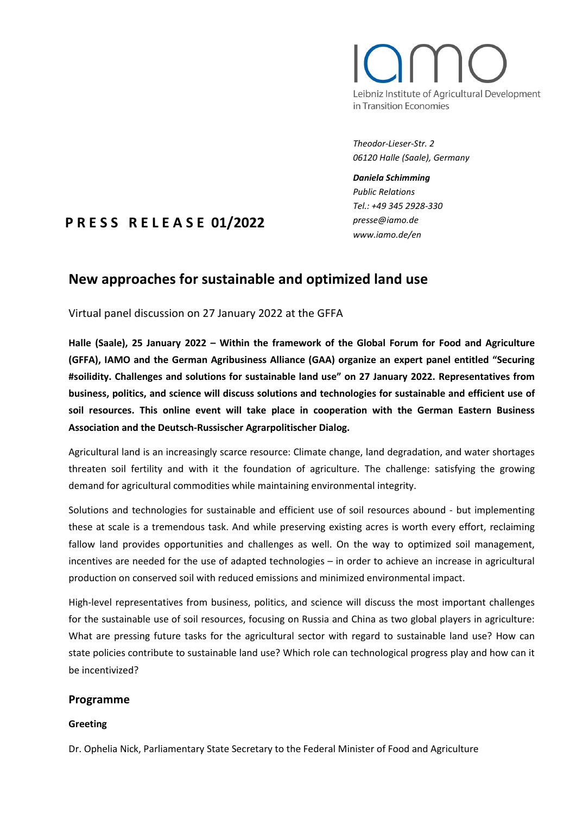# Leibniz Institute of Agricultural Development in Transition Economies

*Theodor-Lieser-Str. 2 06120 Halle (Saale), Germany*

*Daniela Schimming Public Relations Tel.: +49 345 2928-330 presse@iamo.de www.iamo.de/en*

## **P R E S S R E L E A S E 01/2022**

### **New approaches for sustainable and optimized land use**

Virtual panel discussion on 27 January 2022 at the GFFA

**Halle (Saale), 25 January 2022 – Within the framework of the Global Forum for Food and Agriculture (GFFA), IAMO and the German Agribusiness Alliance (GAA) organize an expert panel entitled "Securing #soilidity. Challenges and solutions for sustainable land use" on 27 January 2022. Representatives from business, politics, and science will discuss solutions and technologies for sustainable and efficient use of soil resources. This online event will take place in cooperation with the German Eastern Business Association and the Deutsch-Russischer Agrarpolitischer Dialog.**

Agricultural land is an increasingly scarce resource: Climate change, land degradation, and water shortages threaten soil fertility and with it the foundation of agriculture. The challenge: satisfying the growing demand for agricultural commodities while maintaining environmental integrity.

Solutions and technologies for sustainable and efficient use of soil resources abound - but implementing these at scale is a tremendous task. And while preserving existing acres is worth every effort, reclaiming fallow land provides opportunities and challenges as well. On the way to optimized soil management, incentives are needed for the use of adapted technologies – in order to achieve an increase in agricultural production on conserved soil with reduced emissions and minimized environmental impact.

High-level representatives from business, politics, and science will discuss the most important challenges for the sustainable use of soil resources, focusing on Russia and China as two global players in agriculture: What are pressing future tasks for the agricultural sector with regard to sustainable land use? How can state policies contribute to sustainable land use? Which role can technological progress play and how can it be incentivized?

#### **Programme**

#### **Greeting**

Dr. Ophelia Nick, Parliamentary State Secretary to the Federal Minister of Food and Agriculture